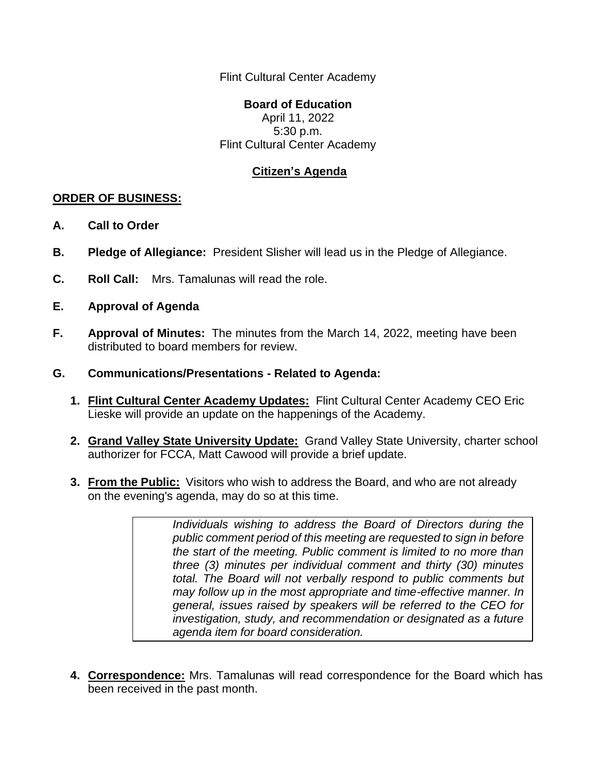Flint Cultural Center Academy

## **Board of Education**

April 11, 2022 5:30 p.m. Flint Cultural Center Academy

## **Citizen's Agenda**

## **ORDER OF BUSINESS:**

- **A. Call to Order**
- **B. Pledge of Allegiance:** President Slisher will lead us in the Pledge of Allegiance.
- **C. Roll Call:** Mrs. Tamalunas will read the role.
- **E. Approval of Agenda**
- **F. Approval of Minutes:** The minutes from the March 14, 2022, meeting have been distributed to board members for review.
- **G. Communications/Presentations - Related to Agenda:**
	- **1. Flint Cultural Center Academy Updates:** Flint Cultural Center Academy CEO Eric Lieske will provide an update on the happenings of the Academy.
	- **2. Grand Valley State University Update:** Grand Valley State University, charter school authorizer for FCCA, Matt Cawood will provide a brief update.
	- **3. From the Public:** Visitors who wish to address the Board, and who are not already on the evening's agenda, may do so at this time.

*Individuals wishing to address the Board of Directors during the public comment period of this meeting are requested to sign in before the start of the meeting. Public comment is limited to no more than three (3) minutes per individual comment and thirty (30) minutes total. The Board will not verbally respond to public comments but may follow up in the most appropriate and time-effective manner. In general, issues raised by speakers will be referred to the CEO for investigation, study, and recommendation or designated as a future agenda item for board consideration.*

**4. Correspondence:** Mrs. Tamalunas will read correspondence for the Board which has been received in the past month.